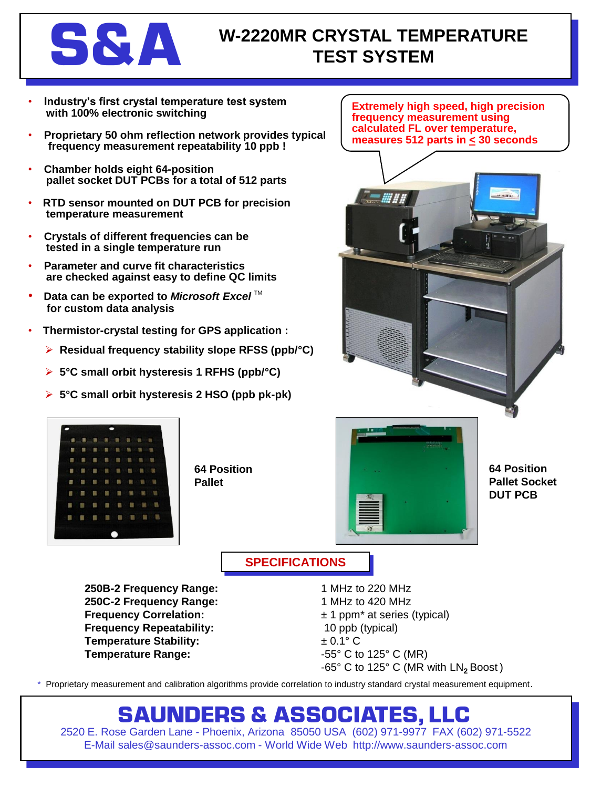

### **SAA W-2220MR CRYSTAL TEMPERATURE TEST SYSTEM**

- **Industry's first crystal temperature test system with 100% electronic switching**
- **Proprietary 50 ohm reflection network provides typical frequency measurement repeatability 10 ppb !**
- **Chamber holds eight 64-position pallet socket DUT PCBs for a total of 512 parts**
- **RTD sensor mounted on DUT PCB for precision temperature measurement**
- **Crystals of different frequencies can be tested in a single temperature run**
- **Parameter and curve fit characteristics are checked against easy to define QC limits**
- **Data can be exported to Microsoft Excel**™ **for custom data analysis**
- **Thermistor-crystal testing for GPS application :**
	- **Residual frequency stability slope RFSS (ppb/°C)**
	- **5°C small orbit hysteresis 1 RFHS (ppb/°C)**
	- **5°C small orbit hysteresis 2 HSO (ppb pk-pk)**

**Extremely high speed, high precision frequency measurement using calculated FL over temperature, measures 512 parts in < 30 seconds**





**64 Position Pallet**



**64 Position Pallet Socket DUT PCB**

### **SPECIFICATIONS**

**250B-2 Frequency Range:** 1 MHz to 220 MHz **250C-2 Frequency Range:** 1 MHz to 420 MHz **Frequency Correlation:**  $\pm 1$  ppm<sup>\*</sup> at series (typical) **Frequency Repeatability:** 10 ppb (typical) **Temperature Stability:**  $\pm 0.1^{\circ}$  C **Temperature Range:**  $-55^{\circ}$  C to 125° C (MR)

-65° C to 125° C (MR with LN<sub>2</sub> Boost)

\* Proprietary measurement and calibration algorithms provide correlation to industry standard crystal measurement equipment.

## **SAUNDERS & ASSOCIATES, LLC**

2520 E. Rose Garden Lane - Phoenix, Arizona 85050 USA (602) 971-9977 FAX (602) 971-5522 E-Mail sales@saunders-assoc.com - World Wide Web http://www.saunders-assoc.com